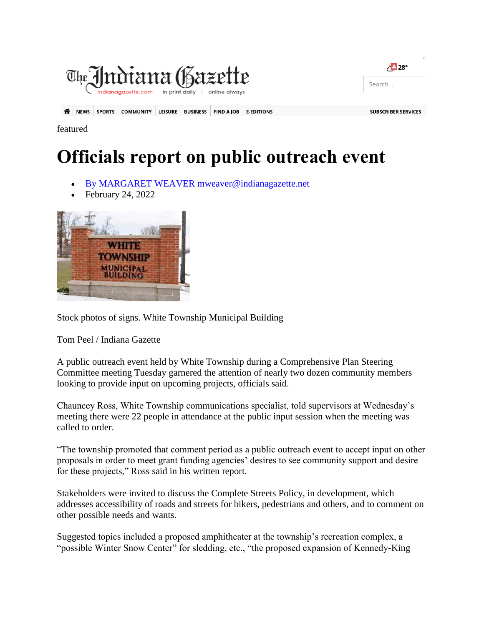

featured

## **Officials report on public outreach event**

- [By MARGARET WEAVER mweaver@indianagazette.net](https://www.indianagazette.com/users/profile/margaret)
- February 24, 2022



Stock photos of signs. White Township Municipal Building

Tom Peel / Indiana Gazette

A public outreach event held by White Township during a Comprehensive Plan Steering Committee meeting Tuesday garnered the attention of nearly two dozen community members looking to provide input on upcoming projects, officials said.

Chauncey Ross, White Township communications specialist, told supervisors at Wednesday's meeting there were 22 people in attendance at the public input session when the meeting was called to order.

"The township promoted that comment period as a public outreach event to accept input on other proposals in order to meet grant funding agencies' desires to see community support and desire for these projects," Ross said in his written report.

Stakeholders were invited to discuss the Complete Streets Policy, in development, which addresses accessibility of roads and streets for bikers, pedestrians and others, and to comment on other possible needs and wants.

Suggested topics included a proposed amphitheater at the township's recreation complex, a "possible Winter Snow Center" for sledding, etc., "the proposed expansion of Kennedy-King